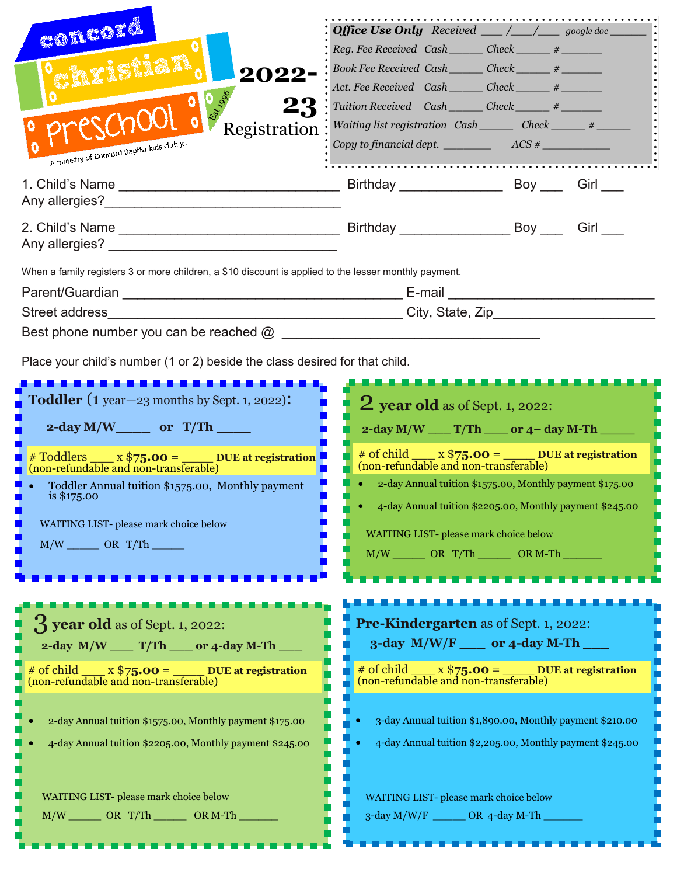| concord<br>2022<br><b>Sol</b> 185<br>23<br>Registration<br>A ministry of Concord Baptist kids club jr.                                                                                                                                                  | <b>Office Use Only</b> Received $\_\_\_\_\_\_\_\_\_\_\$ google doc<br>Reg. Fee Received Cash ______ Check _____ # ______<br>Book Fee Received Cash _______ Check ______ # _______<br>Act. Fee Received Cash ______ Check ______ #<br>Tuition Received Cash _______ Check ______ # _______<br>Waiting list registration Cash_______ Check______ #______<br>Copy to financial dept. $\frac{1}{2}$ ACS $\frac{1}{2}$ |                                                                                                                        |
|---------------------------------------------------------------------------------------------------------------------------------------------------------------------------------------------------------------------------------------------------------|-------------------------------------------------------------------------------------------------------------------------------------------------------------------------------------------------------------------------------------------------------------------------------------------------------------------------------------------------------------------------------------------------------------------|------------------------------------------------------------------------------------------------------------------------|
| Any allergies? Any allergies and the state of the state of the state of the state of the state of the state of the state of the state of the state of the state of the state of the state of the state of the state of the sta                          |                                                                                                                                                                                                                                                                                                                                                                                                                   |                                                                                                                        |
| Any allergies? Any allergies and the state of the state of the state of the state of the state of the state of                                                                                                                                          |                                                                                                                                                                                                                                                                                                                                                                                                                   |                                                                                                                        |
| When a family registers 3 or more children, a \$10 discount is applied to the lesser monthly payment.<br>Street address<br>Best phone number you can be reached $\omega$<br>Place your child's number (1 or 2) beside the class desired for that child. |                                                                                                                                                                                                                                                                                                                                                                                                                   |                                                                                                                        |
| <b>Toddler</b> $(1$ year $-23$ months by Sept. 1, 2022):<br>2-day $M/W$ or $T/Th$ _____                                                                                                                                                                 | <b>2</b> year old as of Sept. 1, 2022:<br>$2$ -day M/W ____ T/Th ____ or 4-day M-Th __                                                                                                                                                                                                                                                                                                                            |                                                                                                                        |
| # Toddlers x \$75.00 = DUE at registration<br>(non-refundable and non-transferable)<br>Toddler Annual tuition \$1575.00, Monthly payment<br>is $$175.00$<br>WAITING LIST-please mark choice below<br>$M/W$ ________ OR T/Th _______                     | # of child ___ x $$75.00 =$ ____ DUE at registration<br>(non-refundable and non-transferable)<br>2-day Annual tuition \$1575.00, Monthly payment \$175.00<br>4-day Annual tuition \$2205.00, Monthly payment \$245.00<br>WAITING LIST- please mark choice below<br>$M/W$ OR T/Th OR M-Th                                                                                                                          |                                                                                                                        |
|                                                                                                                                                                                                                                                         |                                                                                                                                                                                                                                                                                                                                                                                                                   |                                                                                                                        |
| $\frac{1}{2}$ year old as of Sept. 1, 2022:<br>$2$ -day M/W ____ T/Th ____ or 4-day M-Th ____<br># of child $x$ \$75.00 = DUE at registration<br>(non-refundable and non-transferable)                                                                  | <b>Pre-Kindergarten as of Sept. 1, 2022:</b><br>$3$ -day M/W/F ___ or 4-day M-Th _<br># of child $\frac{x $75.00} = \frac{DUE}{2}$ at registration<br>(non-refundable and non-transferable)                                                                                                                                                                                                                       |                                                                                                                        |
| 2-day Annual tuition \$1575.00, Monthly payment \$175.00<br>4-day Annual tuition \$2205.00, Monthly payment \$245.00                                                                                                                                    |                                                                                                                                                                                                                                                                                                                                                                                                                   | 3-day Annual tuition \$1,890.00, Monthly payment \$210.00<br>4-day Annual tuition \$2,205.00, Monthly payment \$245.00 |
| WAITING LIST- please mark choice below<br>$M/W$ OR T/Th OR $M-Th$                                                                                                                                                                                       | WAITING LIST-please mark choice below<br>$3$ -day M/W/F _______ OR 4-day M-Th                                                                                                                                                                                                                                                                                                                                     |                                                                                                                        |